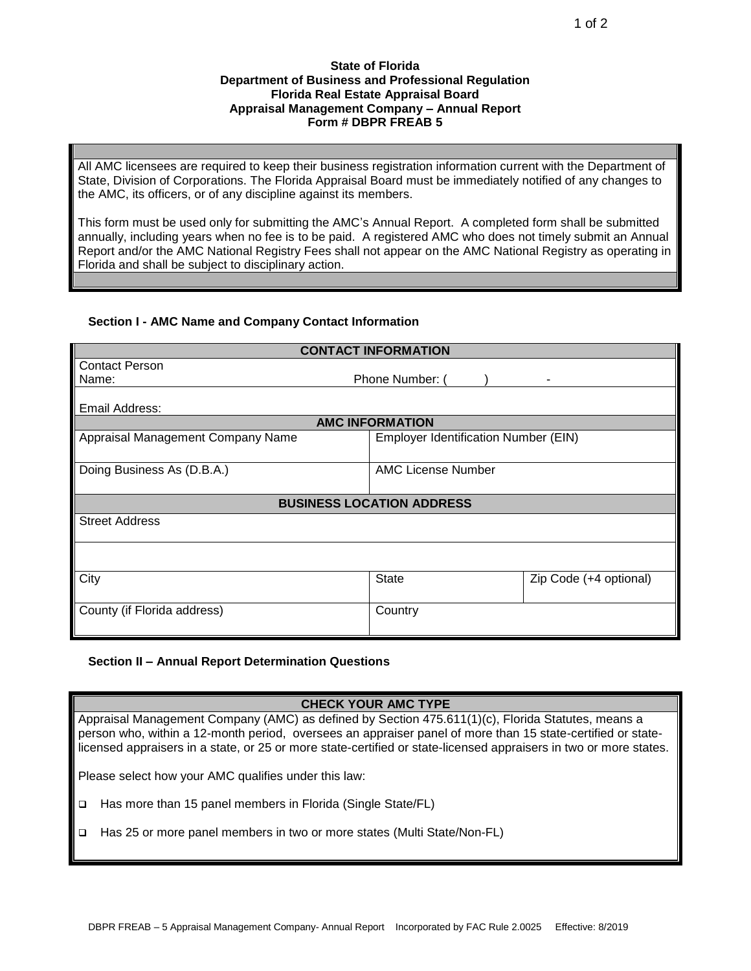## **State of Florida Department of Business and Professional Regulation Florida Real Estate Appraisal Board Appraisal Management Company – Annual Report Form # DBPR FREAB 5**

All AMC licensees are required to keep their business registration information current with the Department of State, Division of Corporations. The Florida Appraisal Board must be immediately notified of any changes to the AMC, its officers, or of any discipline against its members.

This form must be used only for submitting the AMC's Annual Report. A completed form shall be submitted annually, including years when no fee is to be paid. A registered AMC who does not timely submit an Annual Report and/or the AMC National Registry Fees shall not appear on the AMC National Registry as operating in Florida and shall be subject to disciplinary action.

## **Section I - AMC Name and Company Contact Information**

| <b>CONTACT INFORMATION</b>        |                                      |                        |  |
|-----------------------------------|--------------------------------------|------------------------|--|
| <b>Contact Person</b>             |                                      |                        |  |
| Phone Number: (<br>Name:          |                                      |                        |  |
|                                   |                                      |                        |  |
| Email Address:                    |                                      |                        |  |
| <b>AMC INFORMATION</b>            |                                      |                        |  |
| Appraisal Management Company Name | Employer Identification Number (EIN) |                        |  |
|                                   |                                      |                        |  |
| Doing Business As (D.B.A.)        | <b>AMC License Number</b>            |                        |  |
|                                   |                                      |                        |  |
| <b>BUSINESS LOCATION ADDRESS</b>  |                                      |                        |  |
| <b>Street Address</b>             |                                      |                        |  |
|                                   |                                      |                        |  |
|                                   |                                      |                        |  |
|                                   |                                      |                        |  |
| City                              | <b>State</b>                         | Zip Code (+4 optional) |  |
|                                   |                                      |                        |  |
| County (if Florida address)       | Country                              |                        |  |
|                                   |                                      |                        |  |
|                                   |                                      |                        |  |

## **Section II – Annual Report Determination Questions**

## **CHECK YOUR AMC TYPE**

Appraisal Management Company (AMC) as defined by Section 475.611(1)(c), Florida Statutes, means a person who, within a 12-month period, oversees an appraiser panel of more than 15 state-certified or statelicensed appraisers in a state, or 25 or more state-certified or state-licensed appraisers in two or more states.

Please select how your AMC qualifies under this law:

- □ Has more than 15 panel members in Florida (Single State/FL)
- Has 25 or more panel members in two or more states (Multi State/Non-FL)